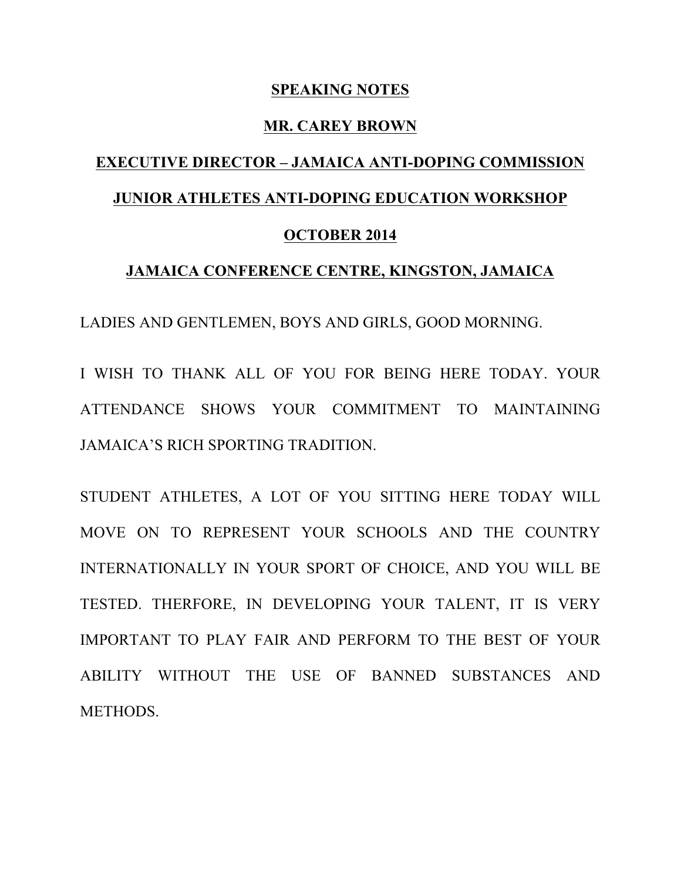## **SPEAKING NOTES**

## **MR. CAREY BROWN**

## **EXECUTIVE DIRECTOR – JAMAICA ANTI-DOPING COMMISSION JUNIOR ATHLETES ANTI-DOPING EDUCATION WORKSHOP OCTOBER 2014**

## **JAMAICA CONFERENCE CENTRE, KINGSTON, JAMAICA**

LADIES AND GENTLEMEN, BOYS AND GIRLS, GOOD MORNING.

I WISH TO THANK ALL OF YOU FOR BEING HERE TODAY. YOUR ATTENDANCE SHOWS YOUR COMMITMENT TO MAINTAINING JAMAICA'S RICH SPORTING TRADITION.

STUDENT ATHLETES, A LOT OF YOU SITTING HERE TODAY WILL MOVE ON TO REPRESENT YOUR SCHOOLS AND THE COUNTRY INTERNATIONALLY IN YOUR SPORT OF CHOICE, AND YOU WILL BE TESTED. THERFORE, IN DEVELOPING YOUR TALENT, IT IS VERY IMPORTANT TO PLAY FAIR AND PERFORM TO THE BEST OF YOUR ABILITY WITHOUT THE USE OF BANNED SUBSTANCES AND METHODS.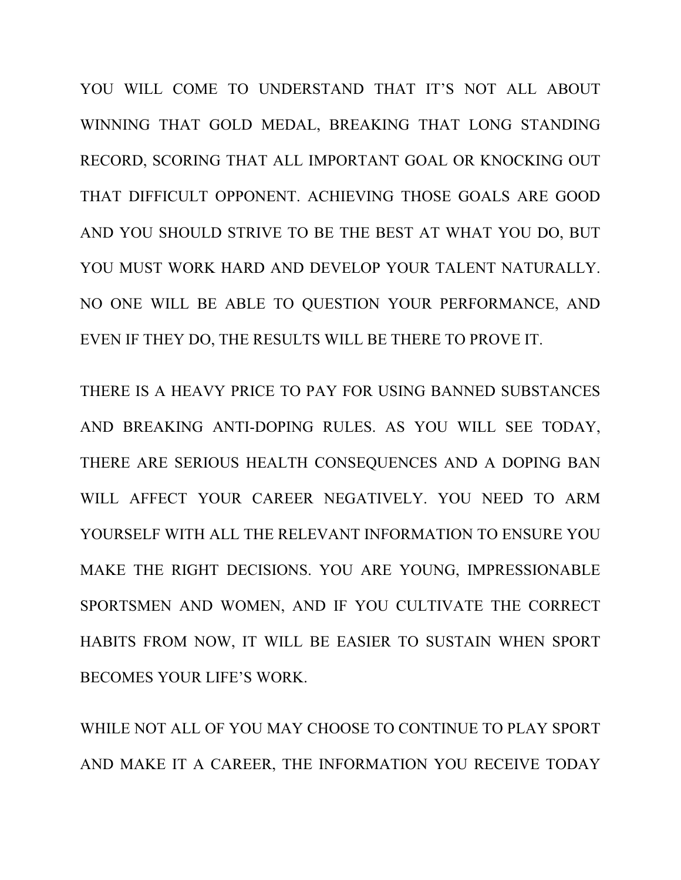YOU WILL COME TO UNDERSTAND THAT IT'S NOT ALL ABOUT WINNING THAT GOLD MEDAL, BREAKING THAT LONG STANDING RECORD, SCORING THAT ALL IMPORTANT GOAL OR KNOCKING OUT THAT DIFFICULT OPPONENT. ACHIEVING THOSE GOALS ARE GOOD AND YOU SHOULD STRIVE TO BE THE BEST AT WHAT YOU DO, BUT YOU MUST WORK HARD AND DEVELOP YOUR TALENT NATURALLY. NO ONE WILL BE ABLE TO QUESTION YOUR PERFORMANCE, AND EVEN IF THEY DO, THE RESULTS WILL BE THERE TO PROVE IT.

THERE IS A HEAVY PRICE TO PAY FOR USING BANNED SUBSTANCES AND BREAKING ANTI-DOPING RULES. AS YOU WILL SEE TODAY, THERE ARE SERIOUS HEALTH CONSEQUENCES AND A DOPING BAN WILL AFFECT YOUR CAREER NEGATIVELY. YOU NEED TO ARM YOURSELF WITH ALL THE RELEVANT INFORMATION TO ENSURE YOU MAKE THE RIGHT DECISIONS. YOU ARE YOUNG, IMPRESSIONABLE SPORTSMEN AND WOMEN, AND IF YOU CULTIVATE THE CORRECT HABITS FROM NOW, IT WILL BE EASIER TO SUSTAIN WHEN SPORT BECOMES YOUR LIFE'S WORK.

WHILE NOT ALL OF YOU MAY CHOOSE TO CONTINUE TO PLAY SPORT AND MAKE IT A CAREER, THE INFORMATION YOU RECEIVE TODAY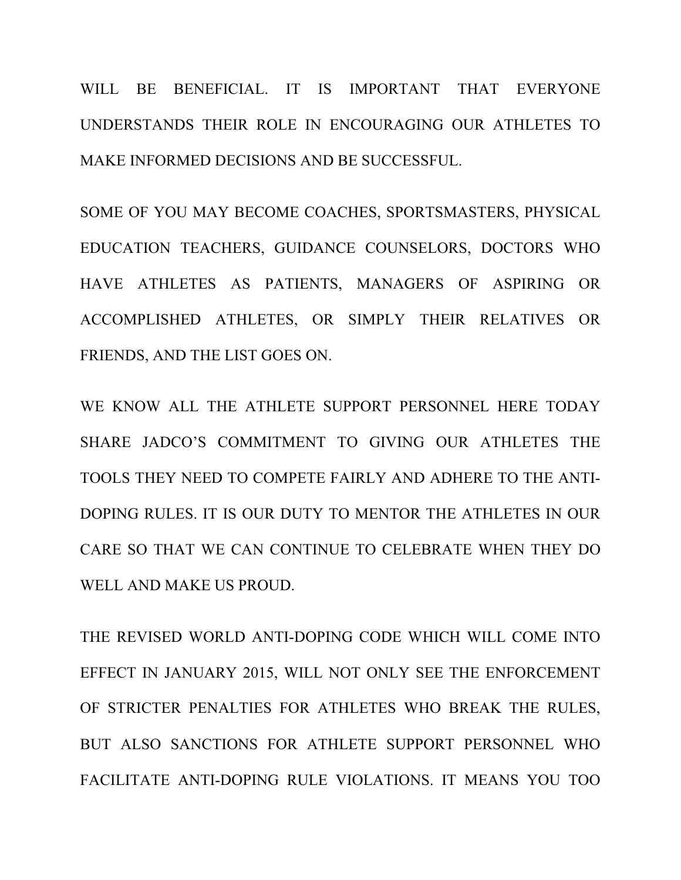WILL BE BENEFICIAL. IT IS IMPORTANT THAT EVERYONE UNDERSTANDS THEIR ROLE IN ENCOURAGING OUR ATHLETES TO MAKE INFORMED DECISIONS AND BE SUCCESSFUL.

SOME OF YOU MAY BECOME COACHES, SPORTSMASTERS, PHYSICAL EDUCATION TEACHERS, GUIDANCE COUNSELORS, DOCTORS WHO HAVE ATHLETES AS PATIENTS, MANAGERS OF ASPIRING OR ACCOMPLISHED ATHLETES, OR SIMPLY THEIR RELATIVES OR FRIENDS, AND THE LIST GOES ON.

WE KNOW ALL THE ATHLETE SUPPORT PERSONNEL HERE TODAY SHARE JADCO'S COMMITMENT TO GIVING OUR ATHLETES THE TOOLS THEY NEED TO COMPETE FAIRLY AND ADHERE TO THE ANTI-DOPING RULES. IT IS OUR DUTY TO MENTOR THE ATHLETES IN OUR CARE SO THAT WE CAN CONTINUE TO CELEBRATE WHEN THEY DO WELL AND MAKE US PROUD.

THE REVISED WORLD ANTI-DOPING CODE WHICH WILL COME INTO EFFECT IN JANUARY 2015, WILL NOT ONLY SEE THE ENFORCEMENT OF STRICTER PENALTIES FOR ATHLETES WHO BREAK THE RULES, BUT ALSO SANCTIONS FOR ATHLETE SUPPORT PERSONNEL WHO FACILITATE ANTI-DOPING RULE VIOLATIONS. IT MEANS YOU TOO